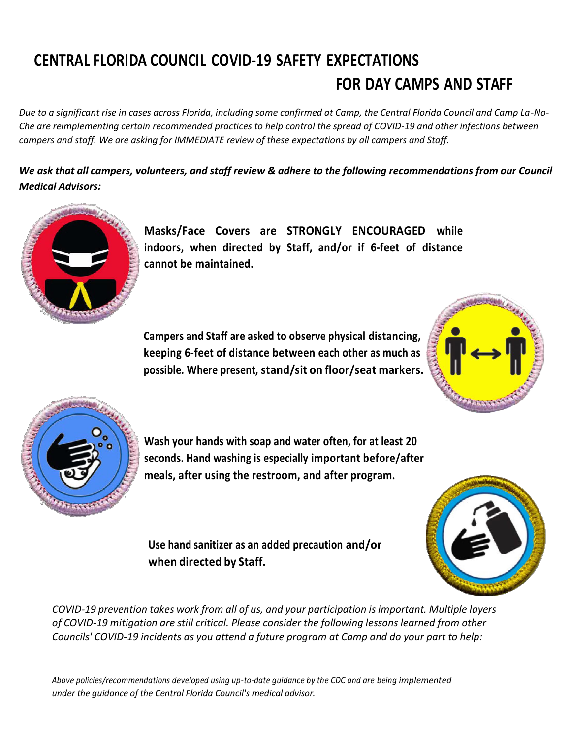# **CENTRAL FLORIDA COUNCIL COVID-19 SAFETY EXPECTATIONS FOR DAY CAMPS AND STAFF**

*Due to a significant rise in cases across Florida, including some confirmed at Camp, the Central Florida Council and Camp La-No-Che are reimplementing certain recommended practices to help control the spread of COVID-19 and other infections between campers and staff. We are asking for IMMEDIATE review of these expectations by all campers and Staff.*

*We ask that all campers, volunteers, and staff review & adhere to the following recommendations from our Council Medical Advisors:*



**Masks/Face Covers are STRONGLY ENCOURAGED while indoors, when directed by Staff, and/or if 6-feet of distance cannot be maintained.**

**Campers and Staff are asked to observe physical distancing, keeping 6-feet of distance between each other as much as possible. Where present, stand/sit on floor/seat markers.**





**Wash your hands with soap and water often, for at least 20 seconds. Hand washing is especially important before/after meals, after using the restroom, and after program.**

**Use hand sanitizer as an added precaution and/or when directed by Staff.**



*COVID-19 prevention takes work from all of us, and your participation isimportant. Multiple layers of COVID-19 mitigation are still critical. Please consider the following lessons learned from other Councils' COVID-19 incidents as you attend a future program at Camp and do your part to help:*

*Above policies/recommendations developed using up-to-date guidance by the CDC and are being implemented under the guidance of the Central Florida Council's medical advisor.*